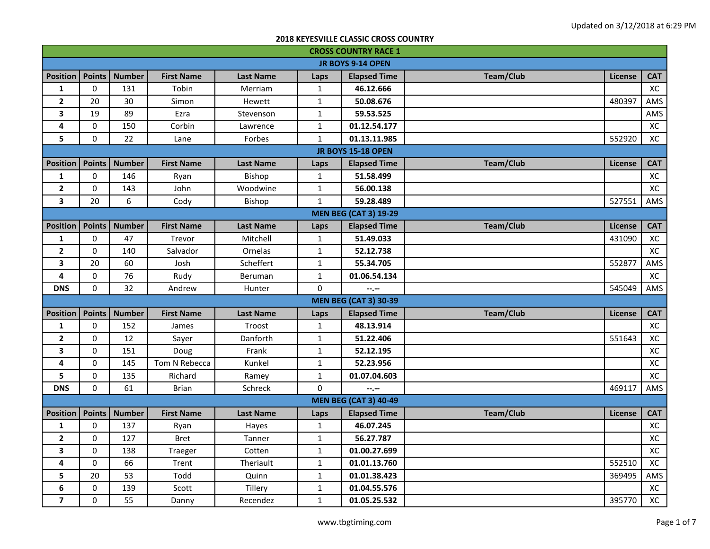| <b>CROSS COUNTRY RACE 1</b> |               |               |                   |                  |              |                              |                  |                |            |
|-----------------------------|---------------|---------------|-------------------|------------------|--------------|------------------------------|------------------|----------------|------------|
|                             |               |               |                   |                  |              | <b>JR BOYS 9-14 OPEN</b>     |                  |                |            |
| <b>Position</b>             | <b>Points</b> | <b>Number</b> | <b>First Name</b> | <b>Last Name</b> | Laps         | <b>Elapsed Time</b>          | <b>Team/Club</b> | License        | <b>CAT</b> |
| $\mathbf{1}$                | 0             | 131           | Tobin             | Merriam          | $\mathbf{1}$ | 46.12.666                    |                  |                | XC         |
| $\overline{2}$              | 20            | 30            | Simon             | Hewett           | $\mathbf{1}$ | 50.08.676                    |                  | 480397         | AMS        |
| 3                           | 19            | 89            | Ezra              | Stevenson        | $\mathbf{1}$ | 59.53.525                    |                  |                | AMS        |
| 4                           | 0             | 150           | Corbin            | Lawrence         | $\mathbf{1}$ | 01.12.54.177                 |                  |                | XC         |
| 5                           | 0             | 22            | Lane              | Forbes           | $\mathbf{1}$ | 01.13.11.985                 |                  | 552920         | XC         |
|                             |               |               |                   |                  |              | <b>JR BOYS 15-18 OPEN</b>    |                  |                |            |
| <b>Position</b>             | <b>Points</b> | <b>Number</b> | <b>First Name</b> | <b>Last Name</b> | Laps         | <b>Elapsed Time</b>          | Team/Club        | <b>License</b> | <b>CAT</b> |
| 1                           | 0             | 146           | Ryan              | Bishop           | $\mathbf{1}$ | 51.58.499                    |                  |                | XC         |
| $\overline{\mathbf{2}}$     | $\mathbf 0$   | 143           | John              | Woodwine         | $\mathbf{1}$ | 56.00.138                    |                  |                | XC         |
| 3                           | 20            | 6             | Cody              | Bishop           | $\mathbf{1}$ | 59.28.489                    |                  | 527551         | AMS        |
|                             |               |               |                   |                  |              | <b>MEN BEG (CAT 3) 19-29</b> |                  |                |            |
| <b>Position</b>             | <b>Points</b> | <b>Number</b> | <b>First Name</b> | <b>Last Name</b> | Laps         | <b>Elapsed Time</b>          | <b>Team/Club</b> | <b>License</b> | <b>CAT</b> |
| $\mathbf 1$                 | $\mathbf 0$   | 47            | Trevor            | Mitchell         | $\mathbf{1}$ | 51.49.033                    |                  | 431090         | XC         |
| $\overline{\mathbf{2}}$     | $\mathbf 0$   | 140           | Salvador          | Ornelas          | $\mathbf{1}$ | 52.12.738                    |                  |                | XC         |
| 3                           | 20            | 60            | Josh              | Scheffert        | $\mathbf{1}$ | 55.34.705                    |                  | 552877         | AMS        |
| $\pmb{4}$                   | $\pmb{0}$     | 76            | Rudy              | Beruman          | $\mathbf{1}$ | 01.06.54.134                 |                  |                | XC         |
| <b>DNS</b>                  | $\mathbf 0$   | 32            | Andrew            | Hunter           | 0            | $-1 - 1 - 1 = 0$             |                  | 545049         | AMS        |
|                             |               |               |                   |                  |              | <b>MEN BEG (CAT 3) 30-39</b> |                  |                |            |
| <b>Position</b>             | <b>Points</b> | <b>Number</b> | <b>First Name</b> | <b>Last Name</b> | Laps         | <b>Elapsed Time</b>          | <b>Team/Club</b> | License        | <b>CAT</b> |
| $\mathbf{1}$                | 0             | 152           | James             | Troost           | $\mathbf{1}$ | 48.13.914                    |                  |                | XC         |
| $\mathbf{2}$                | 0             | 12            | Sayer             | Danforth         | $\mathbf 1$  | 51.22.406                    |                  | 551643         | XC         |
| 3                           | 0             | 151           | Doug              | Frank            | $\mathbf{1}$ | 52.12.195                    |                  |                | XC         |
| 4                           | 0             | 145           | Tom N Rebecca     | Kunkel           | $\mathbf{1}$ | 52.23.956                    |                  |                | XC         |
| 5                           | $\pmb{0}$     | 135           | Richard           | Ramey            | $\mathbf{1}$ | 01.07.04.603                 |                  |                | XC         |
| <b>DNS</b>                  | 0             | 61            | <b>Brian</b>      | Schreck          | 0            | --.--                        |                  | 469117         | AMS        |
|                             |               |               |                   |                  |              | <b>MEN BEG (CAT 3) 40-49</b> |                  |                |            |
| <b>Position</b>             | <b>Points</b> | <b>Number</b> | <b>First Name</b> | <b>Last Name</b> | Laps         | <b>Elapsed Time</b>          | Team/Club        | <b>License</b> | <b>CAT</b> |
| $\mathbf{1}$                | $\pmb{0}$     | 137           | Ryan              | Hayes            | $\mathbf{1}$ | 46.07.245                    |                  |                | XC         |
| $\mathbf{2}$                | $\pmb{0}$     | 127           | <b>Bret</b>       | Tanner           | $\mathbf{1}$ | 56.27.787                    |                  |                | XC         |
| 3                           | $\pmb{0}$     | 138           | Traeger           | Cotten           | $\mathbf{1}$ | 01.00.27.699                 |                  |                | XC         |
| 4                           | $\pmb{0}$     | 66            | Trent             | Theriault        | $\mathbf{1}$ | 01.01.13.760                 |                  | 552510         | XC         |
| 5                           | 20            | 53            | Todd              | Quinn            | $\mathbf{1}$ | 01.01.38.423                 |                  | 369495         | AMS        |
| 6                           | $\pmb{0}$     | 139           | Scott             | Tillery          | $\mathbf{1}$ | 01.04.55.576                 |                  |                | XC         |
| $\overline{\mathbf{z}}$     | $\mathbf 0$   | 55            | Danny             | Recendez         | $\mathbf{1}$ | 01.05.25.532                 |                  | 395770         | XC         |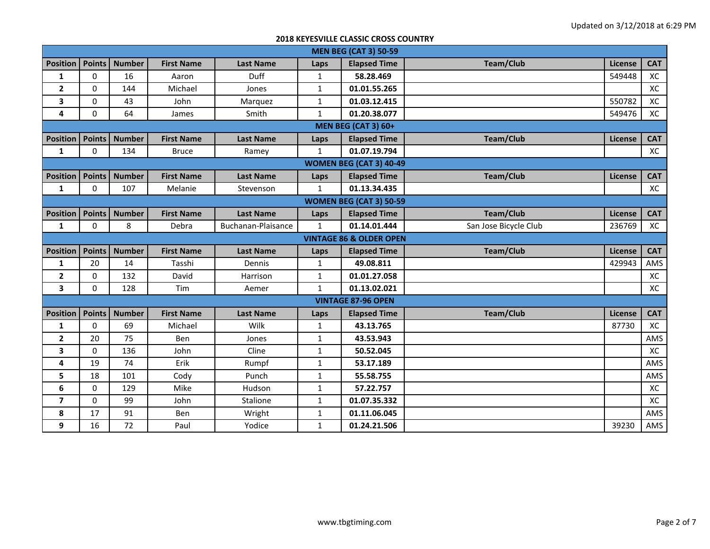|                         | <b>MEN BEG (CAT 3) 50-59</b>       |               |                   |                    |              |                                |                       |                |            |  |  |  |
|-------------------------|------------------------------------|---------------|-------------------|--------------------|--------------|--------------------------------|-----------------------|----------------|------------|--|--|--|
| <b>Position</b>         | <b>Points</b>                      | <b>Number</b> | <b>First Name</b> | <b>Last Name</b>   | Laps         | <b>Elapsed Time</b>            | <b>Team/Club</b>      | <b>License</b> | <b>CAT</b> |  |  |  |
| 1                       | 0                                  | 16            | Aaron             | Duff               | $\mathbf{1}$ | 58.28.469                      |                       | 549448         | XC         |  |  |  |
| $\overline{\mathbf{2}}$ | 0                                  | 144           | Michael           | Jones              | $\mathbf{1}$ | 01.01.55.265                   |                       |                | XC         |  |  |  |
| 3                       | $\Omega$                           | 43            | John              | Marquez            | 1            | 01.03.12.415                   |                       | 550782         | XC         |  |  |  |
| 4                       | $\Omega$                           | 64            | James             | Smith              | $\mathbf{1}$ | 01.20.38.077                   |                       | 549476         | XC         |  |  |  |
|                         |                                    |               |                   |                    |              | <b>MEN BEG (CAT 3) 60+</b>     |                       |                |            |  |  |  |
| <b>Position</b>         | <b>Points</b>                      | <b>Number</b> | <b>First Name</b> | <b>Last Name</b>   | Laps         | <b>Elapsed Time</b>            | Team/Club             | <b>License</b> | <b>CAT</b> |  |  |  |
| $\mathbf{1}$            | $\Omega$                           | 134           | <b>Bruce</b>      | Ramey              | $\mathbf{1}$ | 01.07.19.794                   |                       |                | XC         |  |  |  |
|                         |                                    |               |                   |                    |              | <b>WOMEN BEG (CAT 3) 40-49</b> |                       |                |            |  |  |  |
| <b>Position</b>         | <b>Points</b>                      | <b>Number</b> | <b>First Name</b> | <b>Last Name</b>   | Laps         | <b>Elapsed Time</b>            | Team/Club             | License        | <b>CAT</b> |  |  |  |
| $\mathbf{1}$            | $\Omega$                           | 107           | Melanie           | Stevenson          | $\mathbf{1}$ | 01.13.34.435                   |                       |                | XC         |  |  |  |
|                         |                                    |               |                   |                    |              | <b>WOMEN BEG (CAT 3) 50-59</b> |                       |                |            |  |  |  |
| <b>Position</b>         | <b>Points</b>                      | <b>Number</b> | <b>First Name</b> | <b>Last Name</b>   | Laps         | <b>Elapsed Time</b>            | <b>Team/Club</b>      | License        | <b>CAT</b> |  |  |  |
| $\mathbf{1}$            | $\Omega$                           | 8             | Debra             | Buchanan-Plaisance | $\mathbf{1}$ | 01.14.01.444                   | San Jose Bicycle Club | 236769         | XC         |  |  |  |
|                         | <b>VINTAGE 86 &amp; OLDER OPEN</b> |               |                   |                    |              |                                |                       |                |            |  |  |  |
| <b>Position</b>         | <b>Points</b>                      | <b>Number</b> | <b>First Name</b> | <b>Last Name</b>   | Laps         | <b>Elapsed Time</b>            | <b>Team/Club</b>      | <b>License</b> | <b>CAT</b> |  |  |  |
| 1                       | 20                                 | 14            | Tasshi            | Dennis             | $\mathbf{1}$ | 49.08.811                      |                       | 429943         | AMS        |  |  |  |
| $\overline{2}$          | 0                                  | 132           | David             | Harrison           | $\mathbf{1}$ | 01.01.27.058                   |                       |                | XC         |  |  |  |
| 3                       | $\Omega$                           | 128           | Tim               | Aemer              | 1            | 01.13.02.021                   |                       |                | XC         |  |  |  |
|                         |                                    |               |                   |                    |              | <b>VINTAGE 87-96 OPEN</b>      |                       |                |            |  |  |  |
| <b>Position</b>         | <b>Points</b>                      | <b>Number</b> | <b>First Name</b> | <b>Last Name</b>   | Laps         | <b>Elapsed Time</b>            | <b>Team/Club</b>      | License        | <b>CAT</b> |  |  |  |
| 1                       | 0                                  | 69            | Michael           | Wilk               | 1            | 43.13.765                      |                       | 87730          | XC         |  |  |  |
| $\overline{2}$          | 20                                 | 75            | Ben               | Jones              | $\mathbf{1}$ | 43.53.943                      |                       |                | AMS        |  |  |  |
| 3                       | 0                                  | 136           | John              | Cline              | $\mathbf{1}$ | 50.52.045                      |                       |                | XC         |  |  |  |
| 4                       | 19                                 | 74            | Erik              | Rumpf              | $\mathbf{1}$ | 53.17.189                      |                       |                | AMS        |  |  |  |
| 5                       | 18                                 | 101           | Cody              | Punch              | $\mathbf{1}$ | 55.58.755                      |                       |                | AMS        |  |  |  |
| 6                       | 0                                  | 129           | Mike              | Hudson             | $\mathbf{1}$ | 57.22.757                      |                       |                | XC         |  |  |  |
| $\overline{\mathbf{z}}$ | 0                                  | 99            | John              | Stalione           | $\mathbf{1}$ | 01.07.35.332                   |                       |                | XC         |  |  |  |
| 8                       | 17                                 | 91            | Ben               | Wright             | $\mathbf{1}$ | 01.11.06.045                   |                       |                | AMS        |  |  |  |
| 9                       | 16                                 | 72            | Paul              | Yodice             | $\mathbf{1}$ | 01.24.21.506                   |                       | 39230          | AMS        |  |  |  |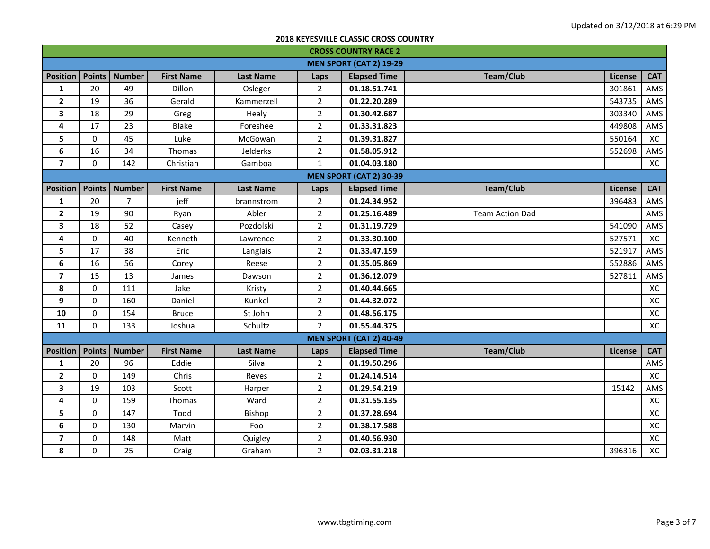| <b>CROSS COUNTRY RACE 2</b> |               |                |                   |                  |                |                                |                        |         |            |
|-----------------------------|---------------|----------------|-------------------|------------------|----------------|--------------------------------|------------------------|---------|------------|
|                             |               |                |                   |                  |                | <b>MEN SPORT (CAT 2) 19-29</b> |                        |         |            |
| <b>Position</b>             | <b>Points</b> | <b>Number</b>  | <b>First Name</b> | <b>Last Name</b> | Laps           | <b>Elapsed Time</b>            | <b>Team/Club</b>       | License | <b>CAT</b> |
| 1                           | 20            | 49             | Dillon            | Osleger          | $\overline{2}$ | 01.18.51.741                   |                        | 301861  | AMS        |
| $\overline{\mathbf{2}}$     | 19            | 36             | Gerald            | Kammerzell       | $\overline{2}$ | 01.22.20.289                   |                        | 543735  | AMS        |
| $\overline{\mathbf{3}}$     | 18            | 29             | Greg              | Healy            | $\overline{2}$ | 01.30.42.687                   |                        | 303340  | AMS        |
| $\pmb{4}$                   | 17            | 23             | Blake             | Foreshee         | $\overline{2}$ | 01.33.31.823                   |                        | 449808  | AMS        |
| 5                           | 0             | 45             | Luke              | McGowan          | $\overline{2}$ | 01.39.31.827                   |                        | 550164  | XC         |
| 6                           | 16            | 34             | Thomas            | Jelderks         | $\overline{2}$ | 01.58.05.912                   |                        | 552698  | AMS        |
| $\overline{\mathbf{z}}$     | $\Omega$      | 142            | Christian         | Gamboa           | $\mathbf{1}$   | 01.04.03.180                   |                        |         | XC         |
|                             |               |                |                   |                  |                | <b>MEN SPORT (CAT 2) 30-39</b> |                        |         |            |
| <b>Position</b>             | <b>Points</b> | <b>Number</b>  | <b>First Name</b> | <b>Last Name</b> | Laps           | <b>Elapsed Time</b>            | Team/Club              | License | <b>CAT</b> |
| $\mathbf{1}$                | 20            | $\overline{7}$ | jeff              | brannstrom       | $\overline{2}$ | 01.24.34.952                   |                        | 396483  | AMS        |
| $\mathbf{2}$                | 19            | 90             | Ryan              | Abler            | $\overline{2}$ | 01.25.16.489                   | <b>Team Action Dad</b> |         | AMS        |
| $\overline{\mathbf{3}}$     | 18            | 52             | Casey             | Pozdolski        | $\overline{2}$ | 01.31.19.729                   |                        | 541090  | AMS        |
| 4                           | 0             | 40             | Kenneth           | Lawrence         | $\overline{2}$ | 01.33.30.100                   |                        | 527571  | XC         |
| 5                           | 17            | 38             | Eric              | Langlais         | $\overline{2}$ | 01.33.47.159                   |                        | 521917  | AMS        |
| 6                           | 16            | 56             | Corey             | Reese            | $\overline{2}$ | 01.35.05.869                   |                        | 552886  | AMS        |
| $\overline{\mathbf{z}}$     | 15            | 13             | James             | Dawson           | $\overline{2}$ | 01.36.12.079                   |                        | 527811  | AMS        |
| 8                           | 0             | 111            | Jake              | Kristy           | $\overline{2}$ | 01.40.44.665                   |                        |         | XC         |
| 9                           | 0             | 160            | Daniel            | Kunkel           | $\overline{2}$ | 01.44.32.072                   |                        |         | XC         |
| 10                          | 0             | 154            | <b>Bruce</b>      | St John          | $\overline{2}$ | 01.48.56.175                   |                        |         | XC         |
| 11                          | 0             | 133            | Joshua            | Schultz          | $\overline{2}$ | 01.55.44.375                   |                        |         | XC         |
|                             |               |                |                   |                  |                | <b>MEN SPORT (CAT 2) 40-49</b> |                        |         |            |
| <b>Position</b>             | <b>Points</b> | <b>Number</b>  | <b>First Name</b> | <b>Last Name</b> | Laps           | <b>Elapsed Time</b>            | <b>Team/Club</b>       | License | <b>CAT</b> |
| $\mathbf{1}$                | 20            | 96             | Eddie             | Silva            | $\overline{2}$ | 01.19.50.296                   |                        |         | AMS        |
| $\overline{\mathbf{2}}$     | 0             | 149            | Chris             | Reyes            | $\overline{2}$ | 01.24.14.514                   |                        |         | XC         |
| 3                           | 19            | 103            | Scott             | Harper           | $\overline{2}$ | 01.29.54.219                   |                        | 15142   | AMS        |
| 4                           | 0             | 159            | Thomas            | Ward             | $\overline{2}$ | 01.31.55.135                   |                        |         | XC         |
| 5                           | 0             | 147            | Todd              | Bishop           | $\overline{2}$ | 01.37.28.694                   |                        |         | XC         |
| 6                           | 0             | 130            | Marvin            | Foo              | $\overline{2}$ | 01.38.17.588                   |                        |         | XC         |
| $\overline{7}$              | 0             | 148            | Matt              | Quigley          | $\overline{2}$ | 01.40.56.930                   |                        |         | XC         |
| 8                           | 0             | 25             | Craig             | Graham           | $\overline{2}$ | 02.03.31.218                   |                        | 396316  | XC         |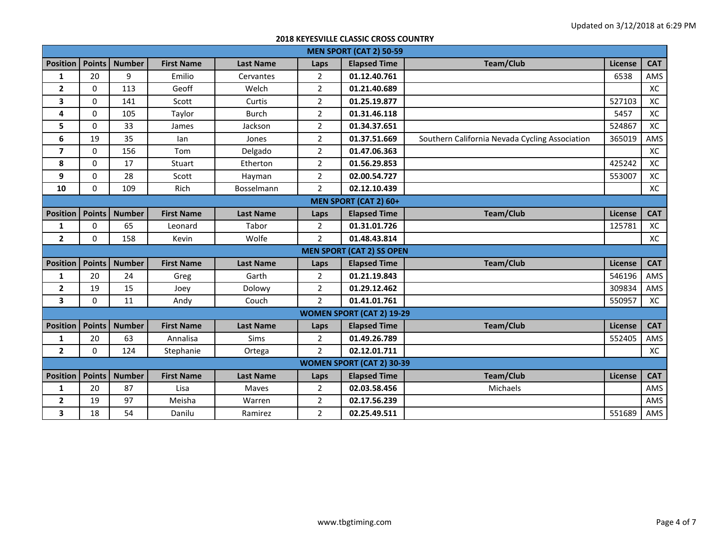| <b>MEN SPORT (CAT 2) 50-59</b> |                              |               |                   |                  |                |                                  |                                                |         |            |  |  |
|--------------------------------|------------------------------|---------------|-------------------|------------------|----------------|----------------------------------|------------------------------------------------|---------|------------|--|--|
| <b>Position</b>                | <b>Points</b>                | <b>Number</b> | <b>First Name</b> | <b>Last Name</b> | Laps           | <b>Elapsed Time</b>              | <b>Team/Club</b>                               | License | <b>CAT</b> |  |  |
| $\mathbf{1}$                   | 20                           | 9             | Emilio            | Cervantes        | $\overline{2}$ | 01.12.40.761                     |                                                | 6538    | AMS        |  |  |
| $\mathbf{2}$                   | $\Omega$                     | 113           | Geoff             | Welch            | $\overline{2}$ | 01.21.40.689                     |                                                |         | XC         |  |  |
| 3                              | 0                            | 141           | Scott             | Curtis           | $\overline{2}$ | 01.25.19.877                     |                                                | 527103  | XC         |  |  |
| 4                              | $\Omega$                     | 105           | Taylor            | <b>Burch</b>     | $\overline{2}$ | 01.31.46.118                     |                                                | 5457    | XC         |  |  |
| 5                              | $\Omega$                     | 33            | James             | Jackson          | $\overline{2}$ | 01.34.37.651                     |                                                | 524867  | XC         |  |  |
| 6                              | 19                           | 35            | lan               | Jones            | $\overline{2}$ | 01.37.51.669                     | Southern California Nevada Cycling Association | 365019  | AMS        |  |  |
| $\overline{\mathbf{z}}$        | $\Omega$                     | 156           | Tom               | Delgado          | $\overline{2}$ | 01.47.06.363                     |                                                |         | XC         |  |  |
| 8                              | 0                            | 17            | Stuart            | Etherton         | $\overline{2}$ | 01.56.29.853                     |                                                | 425242  | XC         |  |  |
| 9                              | 0                            | 28            | Scott             | Hayman           | $\overline{2}$ | 02.00.54.727                     |                                                | 553007  | XC         |  |  |
| 10                             | 0                            | 109           | Rich              | Bosselmann       | $\overline{2}$ | 02.12.10.439                     |                                                |         | XC         |  |  |
|                                | <b>MEN SPORT (CAT 2) 60+</b> |               |                   |                  |                |                                  |                                                |         |            |  |  |
| <b>Position</b>                | <b>Points</b>                | <b>Number</b> | <b>First Name</b> | <b>Last Name</b> | Laps           | <b>Elapsed Time</b>              | <b>Team/Club</b>                               | License | <b>CAT</b> |  |  |
| $\mathbf{1}$                   | $\Omega$                     | 65            | Leonard           | Tabor            | $\overline{2}$ | 01.31.01.726                     |                                                | 125781  | XC         |  |  |
| $\mathbf{2}$                   | $\Omega$                     | 158           | Kevin             | Wolfe            | $\overline{2}$ | 01.48.43.814                     |                                                |         | XC         |  |  |
|                                |                              |               |                   |                  |                | <b>MEN SPORT (CAT 2) SS OPEN</b> |                                                |         |            |  |  |
| <b>Position</b>                | <b>Points</b>                | <b>Number</b> | <b>First Name</b> | <b>Last Name</b> | Laps           | <b>Elapsed Time</b>              | <b>Team/Club</b>                               | License | <b>CAT</b> |  |  |
| $\mathbf{1}$                   | 20                           | 24            | Greg              | Garth            | $\overline{2}$ | 01.21.19.843                     |                                                | 546196  | AMS        |  |  |
| 2                              | 19                           | 15            | Joey              | Dolowy           | $\overline{2}$ | 01.29.12.462                     |                                                | 309834  | AMS        |  |  |
| 3                              | $\Omega$                     | 11            | Andy              | Couch            | $\overline{2}$ | 01.41.01.761                     |                                                | 550957  | XC         |  |  |
|                                |                              |               |                   |                  |                | <b>WOMEN SPORT (CAT 2) 19-29</b> |                                                |         |            |  |  |
| <b>Position</b>                | <b>Points</b>                | <b>Number</b> | <b>First Name</b> | <b>Last Name</b> | Laps           | <b>Elapsed Time</b>              | Team/Club                                      | License | <b>CAT</b> |  |  |
| 1                              | 20                           | 63            | Annalisa          | <b>Sims</b>      | $\overline{2}$ | 01.49.26.789                     |                                                | 552405  | AMS        |  |  |
| $\mathbf{2}$                   | $\Omega$                     | 124           | Stephanie         | Ortega           | $\overline{2}$ | 02.12.01.711                     |                                                |         | XC         |  |  |
|                                |                              |               |                   |                  |                | <b>WOMEN SPORT (CAT 2) 30-39</b> |                                                |         |            |  |  |
| <b>Position</b>                | <b>Points</b>                | <b>Number</b> | <b>First Name</b> | <b>Last Name</b> | Laps           | <b>Elapsed Time</b>              | <b>Team/Club</b>                               | License | <b>CAT</b> |  |  |
| $\mathbf{1}$                   | 20                           | 87            | Lisa              | <b>Maves</b>     | $\overline{2}$ | 02.03.58.456                     | Michaels                                       |         | AMS        |  |  |
| 2                              | 19                           | 97            | Meisha            | Warren           | $\overline{2}$ | 02.17.56.239                     |                                                |         | AMS        |  |  |
| 3                              | 18                           | 54            | Danilu            | Ramirez          | $\overline{2}$ | 02.25.49.511                     |                                                | 551689  | AMS        |  |  |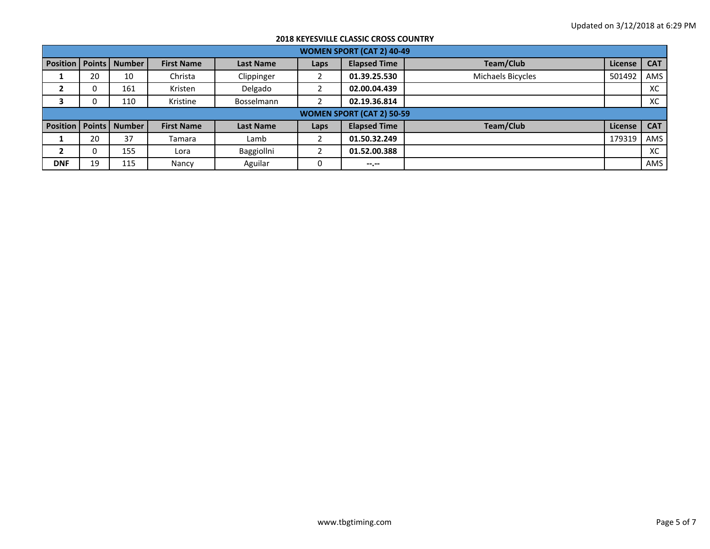|                            | <b>WOMEN SPORT (CAT 2) 40-49</b> |               |                   |                  |      |                                  |                   |         |            |  |  |  |
|----------------------------|----------------------------------|---------------|-------------------|------------------|------|----------------------------------|-------------------|---------|------------|--|--|--|
| <b>Position   Points  </b> |                                  | <b>Number</b> | <b>First Name</b> | <b>Last Name</b> | Laps | <b>Elapsed Time</b>              | Team/Club         | License | <b>CAT</b> |  |  |  |
| л.                         | 20                               | 10            | Christa           | Clippinger       |      | 01.39.25.530                     | Michaels Bicycles | 501492  | AMS        |  |  |  |
| ▴                          | 0                                | 161           | Kristen           | Delgado          |      | 02.00.04.439                     |                   |         | XC         |  |  |  |
| 3                          | 0                                | 110           | Kristine          | Bosselmann       |      | 02.19.36.814                     |                   |         | XC         |  |  |  |
|                            |                                  |               |                   |                  |      | <b>WOMEN SPORT (CAT 2) 50-59</b> |                   |         |            |  |  |  |
| <b>Position   Points  </b> |                                  | <b>Number</b> | <b>First Name</b> | <b>Last Name</b> | Laps | <b>Elapsed Time</b>              | Team/Club         | License | <b>CAT</b> |  |  |  |
| л.                         | 20                               | 37            | Tamara            | Lamb             |      | 01.50.32.249                     |                   | 179319  | AMS        |  |  |  |
| 2                          |                                  | 155           | Lora              | Baggiollni       |      | 01.52.00.388                     |                   |         | XC         |  |  |  |
| <b>DNF</b>                 | 19                               | 115           | Nancy             | Aguilar          |      | $- - - - -$                      |                   |         | AMS        |  |  |  |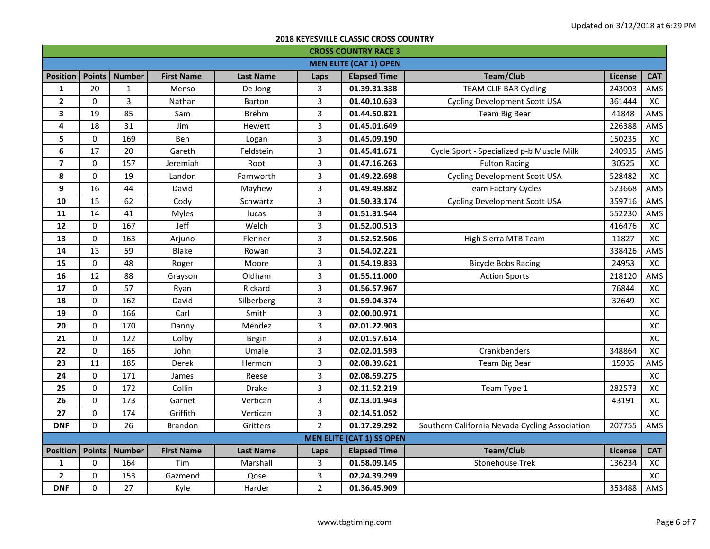| <b>CROSS COUNTRY RACE 3</b> |               |               |                   |                  |                |                                  |                                                |                |            |  |
|-----------------------------|---------------|---------------|-------------------|------------------|----------------|----------------------------------|------------------------------------------------|----------------|------------|--|
|                             |               |               |                   |                  |                | <b>MEN ELITE (CAT 1) OPEN</b>    |                                                |                |            |  |
| <b>Position</b>             | <b>Points</b> | <b>Number</b> | <b>First Name</b> | <b>Last Name</b> | Laps           | <b>Elapsed Time</b>              | <b>Team/Club</b>                               | License        | <b>CAT</b> |  |
| 1                           | 20            | $\mathbf{1}$  | Menso             | De Jong          | 3              | 01.39.31.338                     | <b>TEAM CLIF BAR Cycling</b>                   | 243003         | AMS        |  |
| $\overline{\mathbf{2}}$     | 0             | 3             | Nathan            | Barton           | 3              | 01.40.10.633                     | <b>Cycling Development Scott USA</b>           | 361444         | XC         |  |
| 3                           | 19            | 85            | Sam               | <b>Brehm</b>     | 3              | 01.44.50.821                     | Team Big Bear                                  | 41848          | AMS        |  |
| 4                           | 18            | 31            | Jim               | Hewett           | 3              | 01.45.01.649                     |                                                | 226388         | AMS        |  |
| 5                           | $\Omega$      | 169           | <b>Ben</b>        | Logan            | 3              | 01.45.09.190                     |                                                | 150235         | XC         |  |
| 6                           | 17            | 20            | Gareth            | Feldstein        | 3              | 01.45.41.671                     | Cycle Sport - Specialized p-b Muscle Milk      | 240935         | AMS        |  |
| $\overline{7}$              | 0             | 157           | Jeremiah          | Root             | 3              | 01.47.16.263                     | <b>Fulton Racing</b>                           | 30525          | XC         |  |
| 8                           | 0             | 19            | Landon            | Farnworth        | 3              | 01.49.22.698                     | <b>Cycling Development Scott USA</b>           | 528482         | XC         |  |
| 9                           | 16            | 44            | David             | Mayhew           | 3              | 01.49.49.882                     | <b>Team Factory Cycles</b>                     | 523668         | AMS        |  |
| 10                          | 15            | 62            | Cody              | Schwartz         | 3              | 01.50.33.174                     | <b>Cycling Development Scott USA</b>           | 359716         | AMS        |  |
| 11                          | 14            | 41            | <b>Myles</b>      | lucas            | 3              | 01.51.31.544                     |                                                | 552230         | AMS        |  |
| 12                          | 0             | 167           | Jeff              | Welch            | 3              | 01.52.00.513                     |                                                | 416476         | XC         |  |
| 13                          | 0             | 163           | Arjuno            | Flenner          | 3              | 01.52.52.506                     | High Sierra MTB Team                           | 11827          | XC         |  |
| 14                          | 13            | 59            | <b>Blake</b>      | Rowan            | 3              | 01.54.02.221                     |                                                | 338426         | AMS        |  |
| 15                          | $\mathbf 0$   | 48            | Roger             | Moore            | 3              | 01.54.19.833                     | <b>Bicycle Bobs Racing</b>                     | 24953          | XC         |  |
| 16                          | 12            | 88            | Grayson           | Oldham           | 3              | 01.55.11.000                     | <b>Action Sports</b>                           | 218120         | AMS        |  |
| 17                          | $\Omega$      | 57            | Ryan              | Rickard          | 3              | 01.56.57.967                     |                                                | 76844          | XC         |  |
| 18                          | 0             | 162           | David             | Silberberg       | 3              | 01.59.04.374                     |                                                | 32649          | XC         |  |
| 19                          | 0             | 166           | Carl              | Smith            | 3              | 02.00.00.971                     |                                                |                | XC         |  |
| 20                          | 0             | 170           | Danny             | Mendez           | 3              | 02.01.22.903                     |                                                |                | XC         |  |
| 21                          | 0             | 122           | Colby             | <b>Begin</b>     | 3              | 02.01.57.614                     |                                                |                | XC         |  |
| 22                          | $\Omega$      | 165           | John              | Umale            | 3              | 02.02.01.593                     | Crankbenders                                   | 348864         | XC         |  |
| 23                          | 11            | 185           | Derek             | Hermon           | 3              | 02.08.39.621                     | Team Big Bear                                  | 15935          | AMS        |  |
| 24                          | 0             | 171           | James             | Reese            | 3              | 02.08.59.275                     |                                                |                | XC         |  |
| 25                          | $\Omega$      | 172           | Collin            | <b>Drake</b>     | 3              | 02.11.52.219                     | Team Type 1                                    | 282573         | XC         |  |
| 26                          | 0             | 173           | Garnet            | Vertican         | 3              | 02.13.01.943                     |                                                | 43191          | XC         |  |
| 27                          | $\Omega$      | 174           | Griffith          | Vertican         | 3              | 02.14.51.052                     |                                                |                | XC         |  |
| <b>DNF</b>                  | 0             | 26            | <b>Brandon</b>    | Gritters         | $\overline{2}$ | 01.17.29.292                     | Southern California Nevada Cycling Association | 207755         | AMS        |  |
|                             |               |               |                   |                  |                | <b>MEN ELITE (CAT 1) SS OPEN</b> |                                                |                |            |  |
| <b>Position</b>             | <b>Points</b> | <b>Number</b> | <b>First Name</b> | <b>Last Name</b> | Laps           | <b>Elapsed Time</b>              | <b>Team/Club</b>                               | <b>License</b> | <b>CAT</b> |  |
| $\mathbf{1}$                | 0             | 164           | Tim               | Marshall         | 3              | 01.58.09.145                     | <b>Stonehouse Trek</b>                         | 136234         | XC         |  |
| $\mathbf{2}$                | 0             | 153           | Gazmend           | Qose             | 3              | 02.24.39.299                     |                                                |                | XC         |  |
| <b>DNF</b>                  | 0             | 27            | Kyle              | Harder           | $\overline{2}$ | 01.36.45.909                     |                                                | 353488         | AMS        |  |